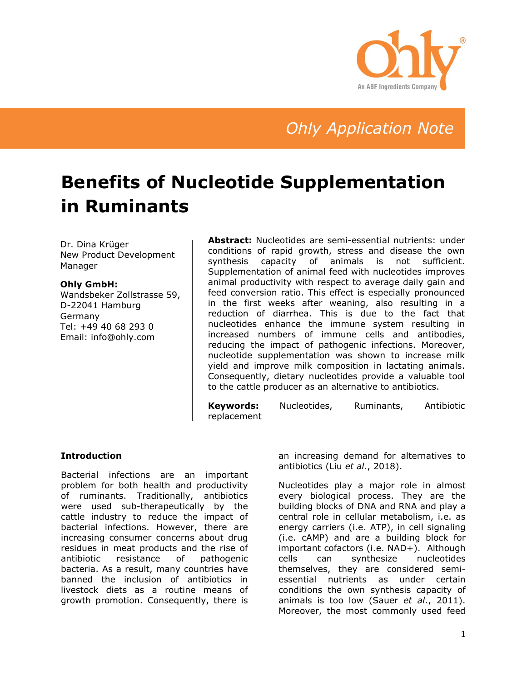

## *Ohly Application Note*

# **Benefits of Nucleotide Supplementation in Ruminants**

Dr. Dina Krüger New Product Development Manager

#### **Ohly GmbH:**

Wandsbeker Zollstrasse 59, D-22041 Hamburg Germany Tel: +49 40 68 293 0 Email: info@ohly.com

**Abstract:** Nucleotides are semi-essential nutrients: under conditions of rapid growth, stress and disease the own synthesis capacity of animals is not sufficient. Supplementation of animal feed with nucleotides improves animal productivity with respect to average daily gain and feed conversion ratio. This effect is especially pronounced in the first weeks after weaning, also resulting in a reduction of diarrhea. This is due to the fact that nucleotides enhance the immune system resulting in increased numbers of immune cells and antibodies, reducing the impact of pathogenic infections. Moreover, nucleotide supplementation was shown to increase milk yield and improve milk composition in lactating animals. Consequently, dietary nucleotides provide a valuable tool to the cattle producer as an alternative to antibiotics.

**Keywords:** Nucleotides, Ruminants, Antibiotic replacement

#### **Introduction**

Bacterial infections are an important problem for both health and productivity of ruminants. Traditionally, antibiotics were used sub-therapeutically by the cattle industry to reduce the impact of bacterial infections. However, there are increasing consumer concerns about drug residues in meat products and the rise of antibiotic resistance of pathogenic bacteria. As a result, many countries have banned the inclusion of antibiotics in livestock diets as a routine means of growth promotion. Consequently, there is

an increasing demand for alternatives to antibiotics (Liu *et al*., 2018).

Nucleotides play a major role in almost every biological process. They are the building blocks of DNA and RNA and play a central role in cellular metabolism, i.e. as energy carriers (i.e. ATP), in cell signaling (i.e. cAMP) and are a building block for important cofactors (i.e. NAD+). Although cells can synthesize nucleotides themselves, they are considered semiessential nutrients as under certain conditions the own synthesis capacity of animals is too low (Sauer *et al*., 2011). Moreover, the most commonly used feed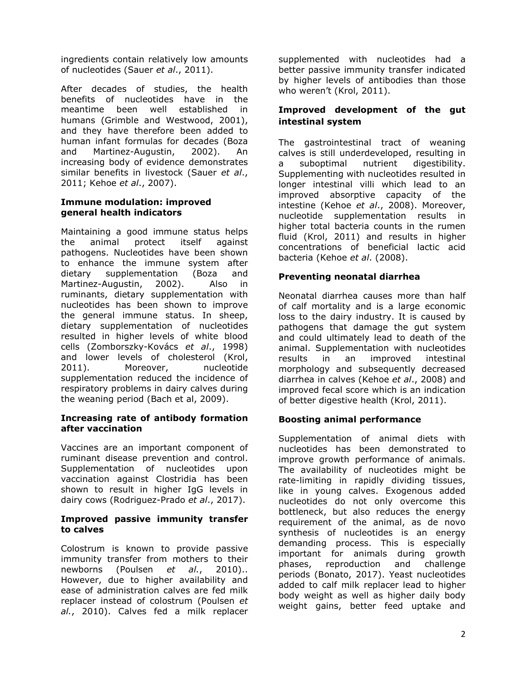ingredients contain relatively low amounts of nucleotides (Sauer *et al*., 2011).

After decades of studies, the health benefits of nucleotides have in the meantime been well established in humans (Grimble and Westwood, 2001), and they have therefore been added to human infant formulas for decades (Boza and Martinez-Augustin, 2002). An increasing body of evidence demonstrates similar benefits in livestock (Sauer *et al*., 2011; Kehoe *et al*., 2007).

#### **Immune modulation: improved general health indicators**

Maintaining a good immune status helps the animal protect itself against pathogens. Nucleotides have been shown to enhance the immune system after dietary supplementation (Boza and Martinez-Augustin, 2002). Also in ruminants, dietary supplementation with nucleotides has been shown to improve the general immune status. In sheep, dietary supplementation of nucleotides resulted in higher levels of white blood cells (Zomborszky-Kovács *et al*., 1998) and lower levels of cholesterol (Krol, 2011). Moreover, nucleotide supplementation reduced the incidence of respiratory problems in dairy calves during the weaning period (Bach et al, 2009).

## **Increasing rate of antibody formation after vaccination**

Vaccines are an important component of ruminant disease prevention and control. Supplementation of nucleotides upon vaccination against Clostridia has been shown to result in higher IgG levels in dairy cows (Rodriguez-Prado *et al*., 2017).

#### **Improved passive immunity transfer to calves**

Colostrum is known to provide passive immunity transfer from mothers to their newborns (Poulsen *et al.*, 2010).. However, due to higher availability and ease of administration calves are fed milk replacer instead of colostrum (Poulsen *et al.*, 2010). Calves fed a milk replacer supplemented with nucleotides had a better passive immunity transfer indicated by higher levels of antibodies than those who weren't (Krol, 2011).

## **Improved development of the gut intestinal system**

The gastrointestinal tract of weaning calves is still underdeveloped, resulting in a suboptimal nutrient digestibility. Supplementing with nucleotides resulted in longer intestinal villi which lead to an improved absorptive capacity of the intestine (Kehoe *et al*., 2008). Moreover, nucleotide supplementation results in higher total bacteria counts in the rumen fluid (Krol, 2011) and results in higher concentrations of beneficial lactic acid bacteria (Kehoe *et al*. (2008).

## **Preventing neonatal diarrhea**

Neonatal diarrhea causes more than half of calf mortality and is a large economic loss to the dairy industry. It is caused by pathogens that damage the gut system and could ultimately lead to death of the animal. Supplementation with nucleotides results in an improved intestinal morphology and subsequently decreased diarrhea in calves (Kehoe *et al*., 2008) and improved fecal score which is an indication of better digestive health (Krol, 2011).

## **Boosting animal performance**

Supplementation of animal diets with nucleotides has been demonstrated to improve growth performance of animals. The availability of nucleotides might be rate-limiting in rapidly dividing tissues, like in young calves. Exogenous added nucleotides do not only overcome this bottleneck, but also reduces the energy requirement of the animal, as de novo synthesis of nucleotides is an energy demanding process. This is especially important for animals during growth phases, reproduction and challenge periods (Bonato, 2017). Yeast nucleotides added to calf milk replacer lead to higher body weight as well as higher daily body weight gains, better feed uptake and